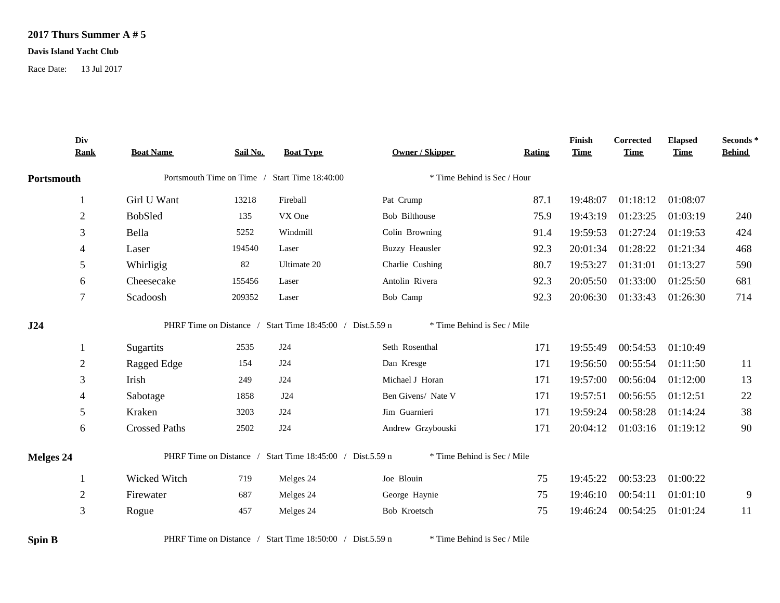## **2017 Thurs Summer A # 5**

## **Davis Island Yacht Club**

Race Date: 13 Jul 2017

| Div<br><b>Rank</b> | <b>Boat Name</b>     | Sail No. | <b>Boat Type</b>                                          | <b>Owner / Skipper</b>      | Rating | Finish<br><b>Time</b> | Corrected<br><b>Time</b> | <b>Elapsed</b><br><b>Time</b> | Seconds*<br><b>Behind</b> |
|--------------------|----------------------|----------|-----------------------------------------------------------|-----------------------------|--------|-----------------------|--------------------------|-------------------------------|---------------------------|
| Portsmouth         |                      |          | Portsmouth Time on Time / Start Time 18:40:00             | * Time Behind is Sec / Hour |        |                       |                          |                               |                           |
|                    | Girl U Want          | 13218    | Fireball                                                  | Pat Crump                   | 87.1   | 19:48:07              | 01:18:12                 | 01:08:07                      |                           |
| $\overline{2}$     | <b>BobSled</b>       | 135      | VX One                                                    | Bob Bilthouse               | 75.9   | 19:43:19              | 01:23:25                 | 01:03:19                      | 240                       |
| 3                  | Bella                | 5252     | Windmill                                                  | Colin Browning              | 91.4   | 19:59:53              | 01:27:24                 | 01:19:53                      | 424                       |
| $\overline{4}$     | Laser                | 194540   | Laser                                                     | <b>Buzzy Heausler</b>       | 92.3   | 20:01:34              | 01:28:22                 | 01:21:34                      | 468                       |
| 5                  | Whirligig            | 82       | Ultimate 20                                               | Charlie Cushing             | 80.7   | 19:53:27              | 01:31:01                 | 01:13:27                      | 590                       |
| 6                  | Cheesecake           | 155456   | Laser                                                     | Antolin Rivera              | 92.3   | 20:05:50              | 01:33:00                 | 01:25:50                      | 681                       |
| 7                  | Scadoosh             | 209352   | Laser                                                     | Bob Camp                    | 92.3   | 20:06:30              | 01:33:43                 | 01:26:30                      | 714                       |
| J24                |                      |          | PHRF Time on Distance / Start Time 18:45:00 / Dist.5.59 n | * Time Behind is Sec / Mile |        |                       |                          |                               |                           |
|                    | Sugartits            | 2535     | J24                                                       | Seth Rosenthal              | 171    | 19:55:49              | 00:54:53                 | 01:10:49                      |                           |
| $\overline{c}$     | Ragged Edge          | 154      | J24                                                       | Dan Kresge                  | 171    | 19:56:50              | 00:55:54                 | 01:11:50                      | 11                        |
| 3                  | Irish                | 249      | J24                                                       | Michael J Horan             | 171    | 19:57:00              | 00:56:04                 | 01:12:00                      | 13                        |
| 4                  | Sabotage             | 1858     | J24                                                       | Ben Givens/ Nate V          | 171    | 19:57:51              | 00:56:55                 | 01:12:51                      | 22                        |
| 5                  | Kraken               | 3203     | J24                                                       | Jim Guarnieri               | 171    | 19:59:24              | 00:58:28                 | 01:14:24                      | 38                        |
| 6                  | <b>Crossed Paths</b> | 2502     | J24                                                       | Andrew Grzybouski           | 171    | 20:04:12              |                          | 01:03:16 01:19:12             | 90                        |
| <b>Melges 24</b>   |                      |          | PHRF Time on Distance / Start Time 18:45:00 / Dist.5.59 n | * Time Behind is Sec / Mile |        |                       |                          |                               |                           |
|                    | Wicked Witch         | 719      | Melges 24                                                 | Joe Blouin                  | 75     | 19:45:22              | 00:53:23                 | 01:00:22                      |                           |
| $\overline{c}$     | Firewater            | 687      | Melges 24                                                 | George Haynie               | 75     | 19:46:10              | 00:54:11                 | 01:01:10                      | 9                         |
| 3                  | Rogue                | 457      | Melges 24                                                 | Bob Kroetsch                | 75     | 19:46:24              | 00:54:25                 | 01:01:24                      | 11                        |
| <b>Spin B</b>      |                      |          | PHRF Time on Distance / Start Time 18:50:00 / Dist.5.59 n | * Time Behind is Sec / Mile |        |                       |                          |                               |                           |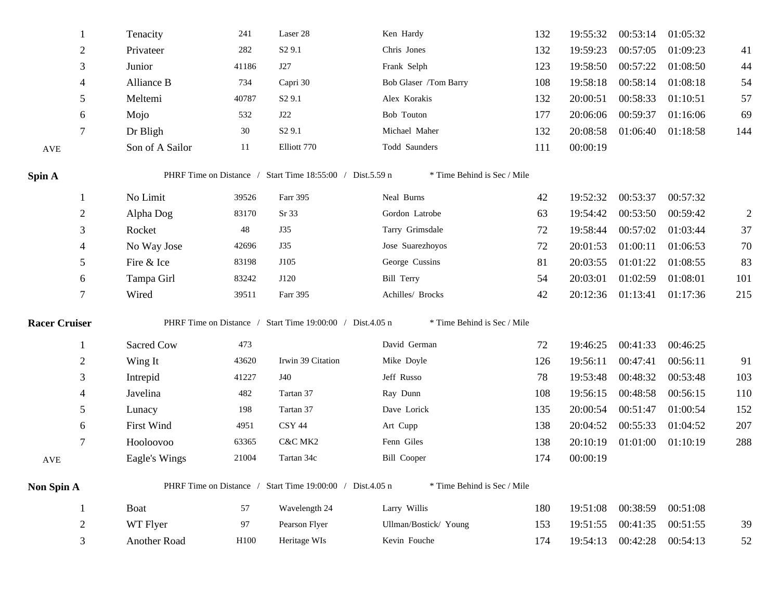| 1                    | Tenacity          |                 | 241   | Laser 28                                                  | Ken Hardy                   | 132 | 19:55:32 | 00:53:14          | 01:05:32 |                |
|----------------------|-------------------|-----------------|-------|-----------------------------------------------------------|-----------------------------|-----|----------|-------------------|----------|----------------|
| $\overline{2}$       | Privateer         |                 | 282   | S <sub>2</sub> 9.1                                        | Chris Jones                 | 132 | 19:59:23 | 00:57:05          | 01:09:23 | 41             |
| 3                    | Junior            |                 | 41186 | J27                                                       | Frank Selph                 | 123 | 19:58:50 | 00:57:22          | 01:08:50 | 44             |
| 4                    | Alliance B        |                 | 734   | Capri 30                                                  | Bob Glaser /Tom Barry       | 108 | 19:58:18 | 00:58:14          | 01:08:18 | 54             |
| 5                    | Meltemi           |                 | 40787 | S <sub>2</sub> 9.1                                        | Alex Korakis                | 132 | 20:00:51 | 00:58:33          | 01:10:51 | 57             |
| 6                    | Mojo              |                 | 532   | J22                                                       | Bob Touton                  | 177 | 20:06:06 | 00:59:37          | 01:16:06 | 69             |
| 7                    | Dr Bligh          |                 | 30    | S <sub>2</sub> 9.1                                        | Michael Maher               | 132 | 20:08:58 | 01:06:40          | 01:18:58 | 144            |
| AVE                  |                   | Son of A Sailor | 11    | Elliott 770                                               | Todd Saunders               | 111 | 00:00:19 |                   |          |                |
| Spin A               |                   |                 |       | PHRF Time on Distance / Start Time 18:55:00 / Dist.5.59 n | * Time Behind is Sec / Mile |     |          |                   |          |                |
|                      | No Limit          |                 | 39526 | Farr 395                                                  | Neal Burns                  | 42  | 19:52:32 | 00:53:37          | 00:57:32 |                |
| $\overline{2}$       | Alpha Dog         |                 | 83170 | Sr 33                                                     | Gordon Latrobe              | 63  | 19:54:42 | 00:53:50          | 00:59:42 | $\overline{2}$ |
| 3                    | Rocket            |                 | 48    | <b>J35</b>                                                | Tarry Grimsdale             | 72  | 19:58:44 | 00:57:02          | 01:03:44 | 37             |
| 4                    |                   | No Way Jose     | 42696 | <b>J35</b>                                                | Jose Suarezhoyos            | 72  | 20:01:53 | 01:00:11          | 01:06:53 | 70             |
| 5                    | Fire & Ice        |                 | 83198 | J105                                                      | George Cussins              | 81  | 20:03:55 | 01:01:22          | 01:08:55 | 83             |
| 6                    | Tampa Girl        |                 | 83242 | J120                                                      | Bill Terry                  | 54  | 20:03:01 | 01:02:59          | 01:08:01 | 101            |
| 7                    | Wired             |                 | 39511 | Farr 395                                                  | Achilles/ Brocks            | 42  | 20:12:36 | 01:13:41 01:17:36 |          | 215            |
| <b>Racer Cruiser</b> |                   |                 |       | PHRF Time on Distance / Start Time 19:00:00 / Dist.4.05 n | * Time Behind is Sec / Mile |     |          |                   |          |                |
| 1                    | Sacred Cow        |                 | 473   |                                                           | David German                | 72  | 19:46:25 | 00:41:33          | 00:46:25 |                |
| $\overline{c}$       | Wing It           |                 | 43620 | Irwin 39 Citation                                         | Mike Doyle                  | 126 | 19:56:11 | 00:47:41          | 00:56:11 | 91             |
| 3                    | Intrepid          |                 | 41227 | J40                                                       | Jeff Russo                  | 78  | 19:53:48 | 00:48:32          | 00:53:48 | 103            |
| 4                    | Javelina          |                 | 482   | Tartan 37                                                 | Ray Dunn                    | 108 | 19:56:15 | 00:48:58          | 00:56:15 | 110            |
| 5                    | Lunacy            |                 | 198   | Tartan 37                                                 | Dave Lorick                 | 135 | 20:00:54 | 00:51:47          | 01:00:54 | 152            |
| 6                    | <b>First Wind</b> |                 | 4951  | CSY 44                                                    | Art Cupp                    | 138 | 20:04:52 | 00:55:33          | 01:04:52 | 207            |
| 7                    | Hooloovoo         |                 | 63365 | C&C MK2                                                   | Fenn Giles                  | 138 | 20:10:19 | 01:01:00          | 01:10:19 | 288            |
| AVE                  |                   | Eagle's Wings   | 21004 | Tartan 34c                                                | <b>Bill Cooper</b>          | 174 | 00:00:19 |                   |          |                |
| Non Spin A           |                   |                 |       | PHRF Time on Distance / Start Time 19:00:00 / Dist.4.05 n | * Time Behind is Sec / Mile |     |          |                   |          |                |
|                      | <b>Boat</b>       |                 | 57    | Wavelength 24                                             | Larry Willis                | 180 | 19:51:08 | 00:38:59          | 00:51:08 |                |
| $\overline{c}$       | WT Flyer          |                 | 97    | Pearson Flyer                                             | Ullman/Bostick/ Young       | 153 | 19:51:55 | 00:41:35          | 00:51:55 | 39             |
| 3                    |                   | Another Road    | H100  | Heritage WIs                                              | Kevin Fouche                | 174 | 19:54:13 | 00:42:28          | 00:54:13 | 52             |